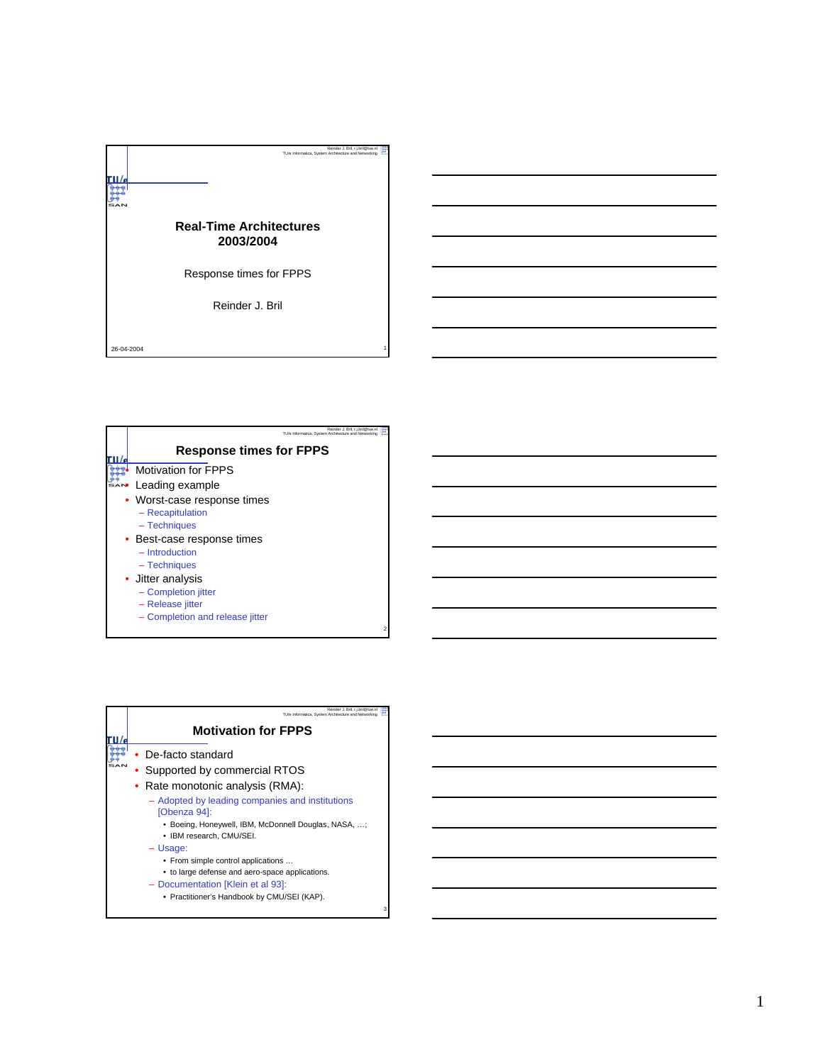

| Reinder J. Bril. r.i.bril@tue.nl<br>TU/e Informatica. System Architecture and Networking |  |
|------------------------------------------------------------------------------------------|--|
| <b>Response times for FPPS</b>                                                           |  |
| <b>Motivation for FPPS</b>                                                               |  |
| Leading example                                                                          |  |
| • Worst-case response times                                                              |  |
| - Recapitulation                                                                         |  |
| - Techniques                                                                             |  |
| • Best-case response times                                                               |  |
| $-$ Introduction                                                                         |  |
| - Techniques                                                                             |  |
| • Jitter analysis                                                                        |  |
| - Completion jitter                                                                      |  |
| - Release jitter                                                                         |  |
| - Completion and release jitter                                                          |  |
|                                                                                          |  |

| Reinder J. Bril. r.i.bril@tue.n<br>TU/e Informatica. System Architecture and Networking |  |
|-----------------------------------------------------------------------------------------|--|
| <b>Motivation for FPPS</b>                                                              |  |
| De-facto standard                                                                       |  |
| Supported by commercial RTOS                                                            |  |
| Rate monotonic analysis (RMA):                                                          |  |
| - Adopted by leading companies and institutions<br>[Obenza 94]:                         |  |
| • Boeing, Honeywell, IBM, McDonnell Douglas, NASA, ;<br>• IBM research, CMU/SEI,        |  |
| $-$ Usage:                                                                              |  |
| • From simple control applications<br>• to large defense and aero-space applications.   |  |
| - Documentation [Klein et al 93]:                                                       |  |
| • Practitioner's Handbook by CMU/SEI (KAP).                                             |  |
|                                                                                         |  |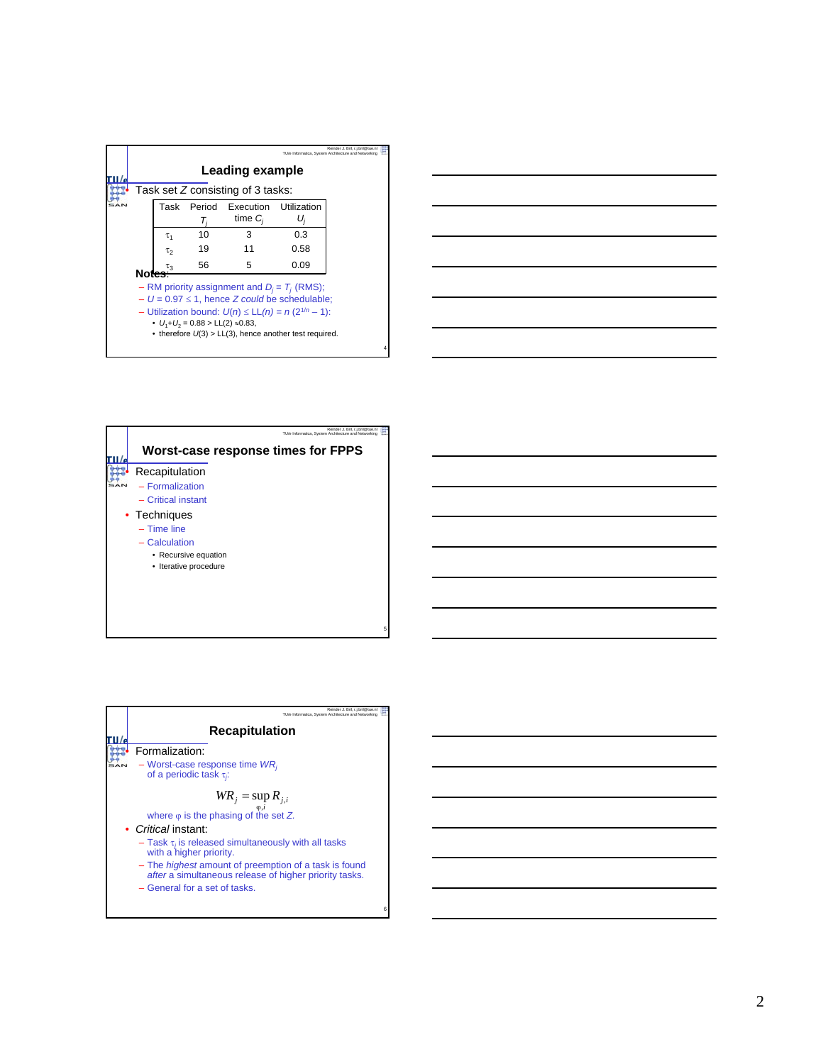|       |            |                                           |                                                                                                                                                                                                                                    |      | Reinder J. Bril, r.j.bril@tue.nl<br>TU/e Informatica. System Architecture and Networking |  |
|-------|------------|-------------------------------------------|------------------------------------------------------------------------------------------------------------------------------------------------------------------------------------------------------------------------------------|------|------------------------------------------------------------------------------------------|--|
|       |            |                                           | Leading example                                                                                                                                                                                                                    |      |                                                                                          |  |
|       |            |                                           | Task set $Z$ consisting of 3 tasks:                                                                                                                                                                                                |      |                                                                                          |  |
|       |            |                                           | Task Period Execution Utilization<br>time $C_i$                                                                                                                                                                                    | U,   |                                                                                          |  |
|       | $\tau_{1}$ | 10                                        | з                                                                                                                                                                                                                                  | 0.3  |                                                                                          |  |
|       | τρ         | 19                                        | 11                                                                                                                                                                                                                                 | 0.58 |                                                                                          |  |
| Notes | τą         | 56                                        | 5                                                                                                                                                                                                                                  | 0.09 |                                                                                          |  |
|       |            | • $U_1+U_2 = 0.88 > LL(2) \approx 0.83$ , | - RM priority assignment and $D_i = T_i$ (RMS);<br>$- U = 0.97 \le 1$ , hence Z could be schedulable;<br>- Utilization bound: $U(n) \leq L(L(n)) = n (2^{1/n} - 1)$ :<br>• therefore $U(3) > LL(3)$ , hence another test required. |      |                                                                                          |  |

4





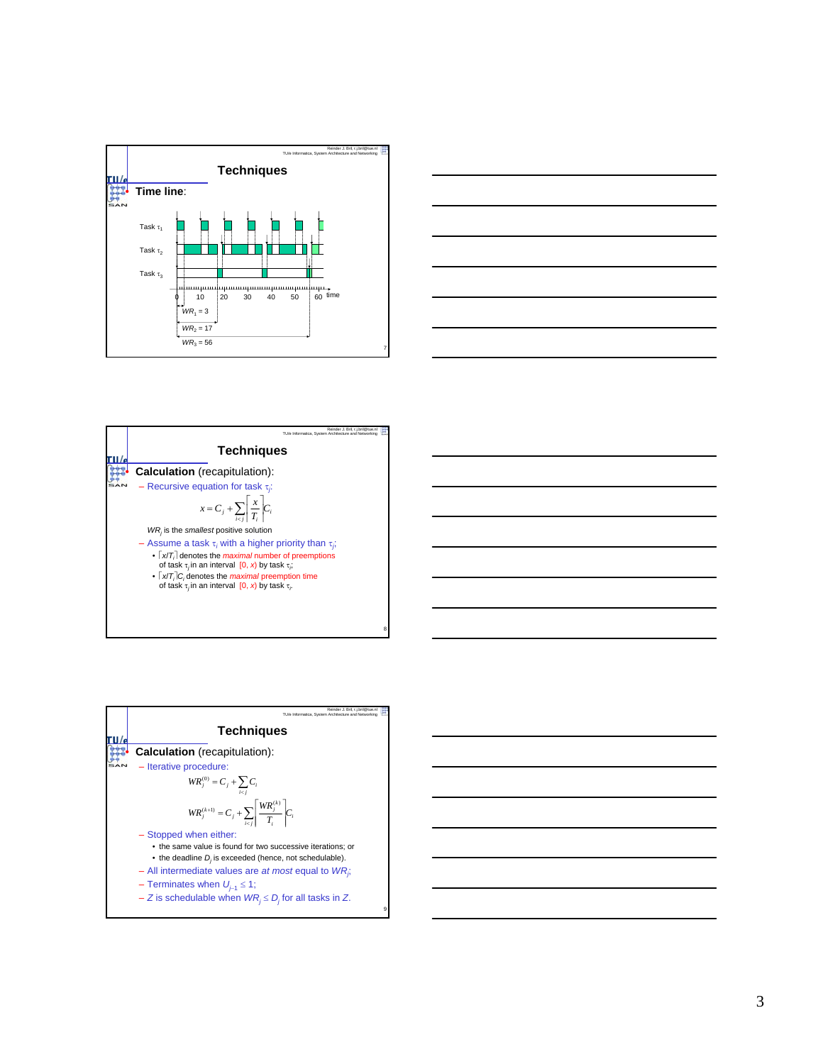





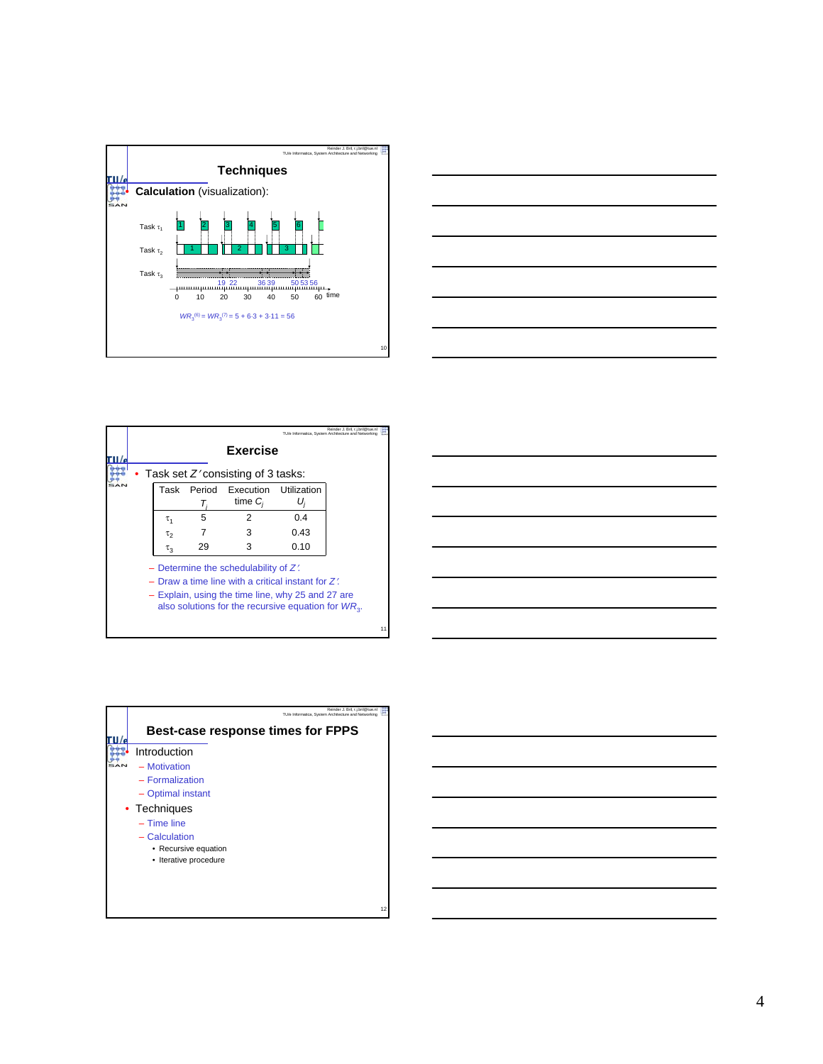



|          |    |                                                                                                                                                                                                                 |             | Reinder J. Bril. r.i.bril@tue.nl<br>TU/e Informatica. System Architecture and Networking |    |
|----------|----|-----------------------------------------------------------------------------------------------------------------------------------------------------------------------------------------------------------------|-------------|------------------------------------------------------------------------------------------|----|
|          |    | Exercise                                                                                                                                                                                                        |             |                                                                                          |    |
|          |    | Task set $Z'$ consisting of 3 tasks:                                                                                                                                                                            |             |                                                                                          |    |
| Task     |    | Period Execution<br>time $C_i$                                                                                                                                                                                  | Utilization |                                                                                          |    |
| τ,       | 5  | 2                                                                                                                                                                                                               | 0.4         |                                                                                          |    |
| τρ       |    | з                                                                                                                                                                                                               | 0.43        |                                                                                          |    |
| $\tau_3$ | 29 | 3                                                                                                                                                                                                               | 0.10        |                                                                                          |    |
|          |    | - Determine the schedulability of $Z'$ .<br>- Draw a time line with a critical instant for $Z'$ .<br>- Explain, using the time line, why 25 and 27 are<br>also solutions for the recursive equation for $WR3$ . |             |                                                                                          | 11 |

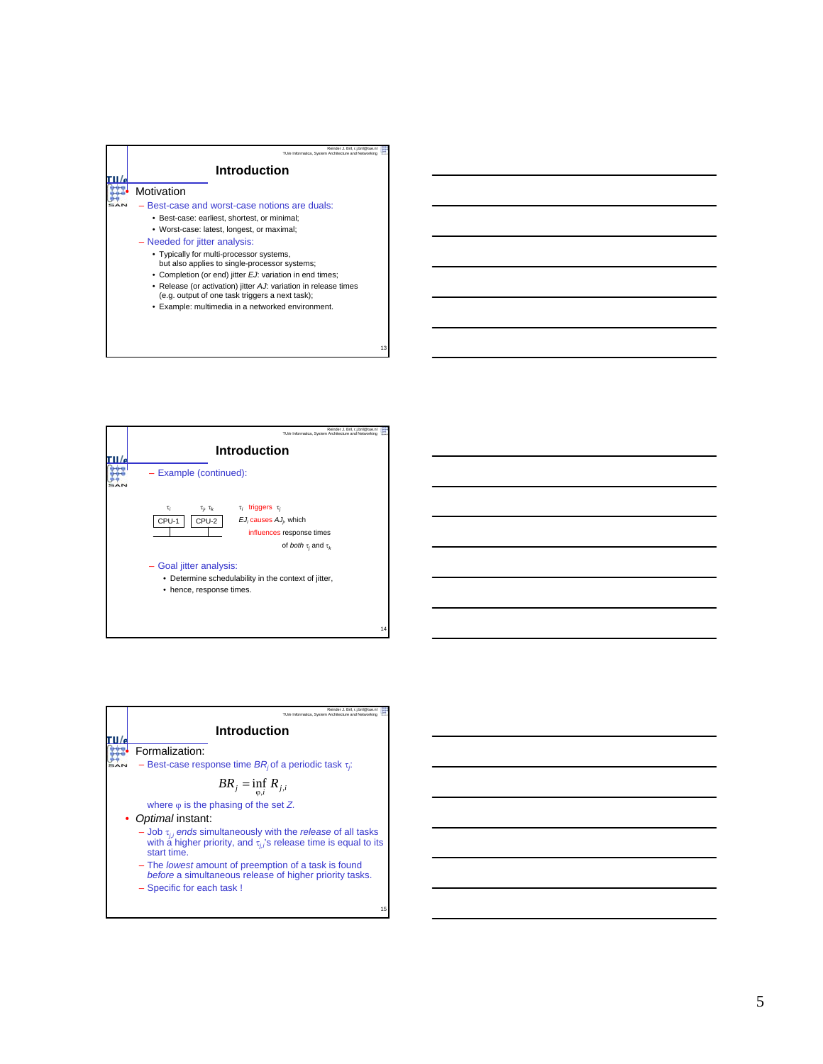



| Reinder J. Bril. r.i.bril@tue.n                                                                                                                                  |
|------------------------------------------------------------------------------------------------------------------------------------------------------------------|
| TU/e Informatica. System Architecture and Networking                                                                                                             |
|                                                                                                                                                                  |
| Introduction                                                                                                                                                     |
|                                                                                                                                                                  |
| Formalization:                                                                                                                                                   |
| - Best-case response time $BR_i$ of a periodic task $\tau_i$ :                                                                                                   |
| $BR_j = \inf_{i \in I} R_{j,i}$                                                                                                                                  |
| where $\varphi$ is the phasing of the set Z.                                                                                                                     |
| • Optimal instant:                                                                                                                                               |
| - Job $\tau_{ji}$ ends simultaneously with the <i>release</i> of all tasks with a higher priority, and $\tau_{ii}$ 's release time is equal to its<br>start time |
| - The lowest amount of preemption of a task is found<br>before a simultaneous release of higher priority tasks.                                                  |
| - Specific for each task !                                                                                                                                       |

15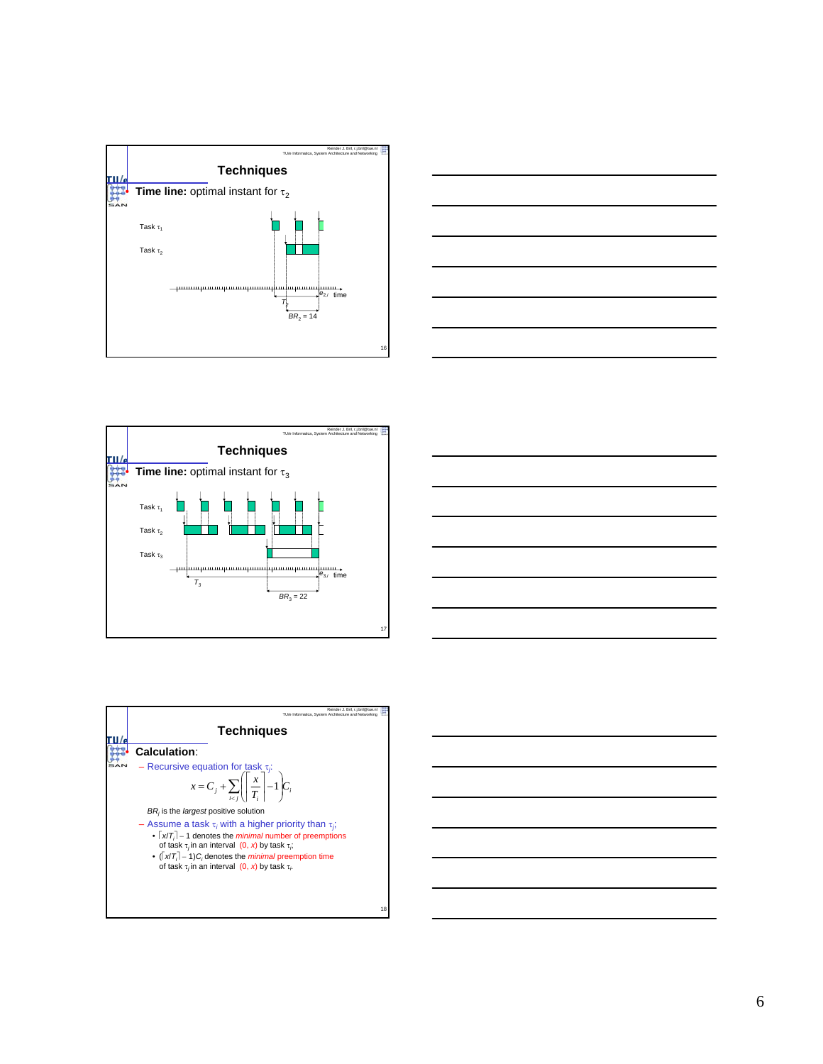







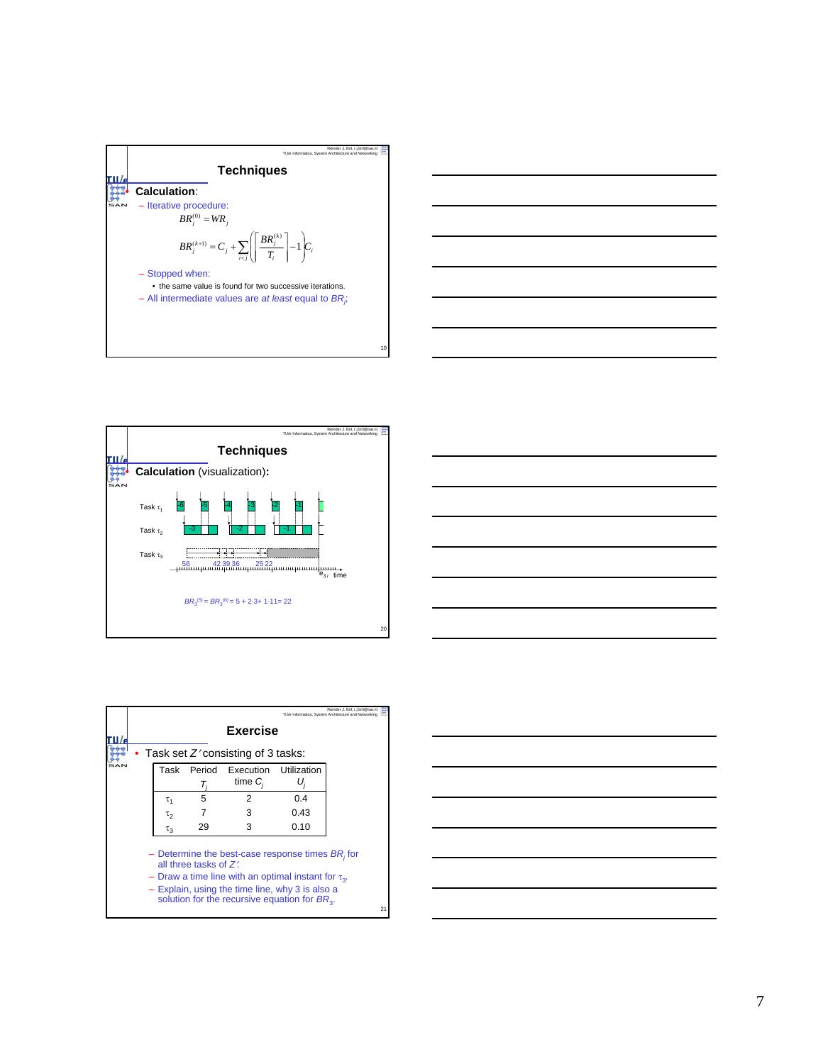



| <u> 1999 - Johann John Stone, meil in der Stone in der Stone in der Stone in der Stone in der Stone in der Stone i</u> |
|------------------------------------------------------------------------------------------------------------------------|
|                                                                                                                        |
|                                                                                                                        |
| <u> Alexandro de la contrada de la contrada de la contrada de la contrada de la contrada de la contrada de la co</u>   |
| <u> 1989 - Andrea Santa Andrea Andrea Andrea Andrea Andrea Andrea Andrea Andrea Andrea Andrea Andrea Andrea Andr</u>   |
|                                                                                                                        |
|                                                                                                                        |
|                                                                                                                        |

|          |                       |                                                                                                                                                                                                                        |             | Reinder J. Bril, r.j.bril@tue.nl<br>TU/e Informatica, System Architecture and Networking |    |
|----------|-----------------------|------------------------------------------------------------------------------------------------------------------------------------------------------------------------------------------------------------------------|-------------|------------------------------------------------------------------------------------------|----|
|          |                       | Exercise                                                                                                                                                                                                               |             |                                                                                          |    |
|          |                       | Task set $Z'$ consisting of 3 tasks:                                                                                                                                                                                   |             |                                                                                          |    |
| Task     | Period                | Execution<br>time $C_i$                                                                                                                                                                                                | Utilization |                                                                                          |    |
| τ,       | 5                     | 2                                                                                                                                                                                                                      | 0.4         |                                                                                          |    |
| τρ       |                       | 3                                                                                                                                                                                                                      | 0.43        |                                                                                          |    |
| $\tau_3$ | 29                    | 3                                                                                                                                                                                                                      | 0.10        |                                                                                          |    |
|          | all three tasks of Z' | - Determine the best-case response times $BR_i$ for<br>- Draw a time line with an optimal instant for $\tau_3$ .<br>- Explain, using the time line, why 3 is also a<br>solution for the recursive equation for $BR3$ . |             |                                                                                          | 21 |

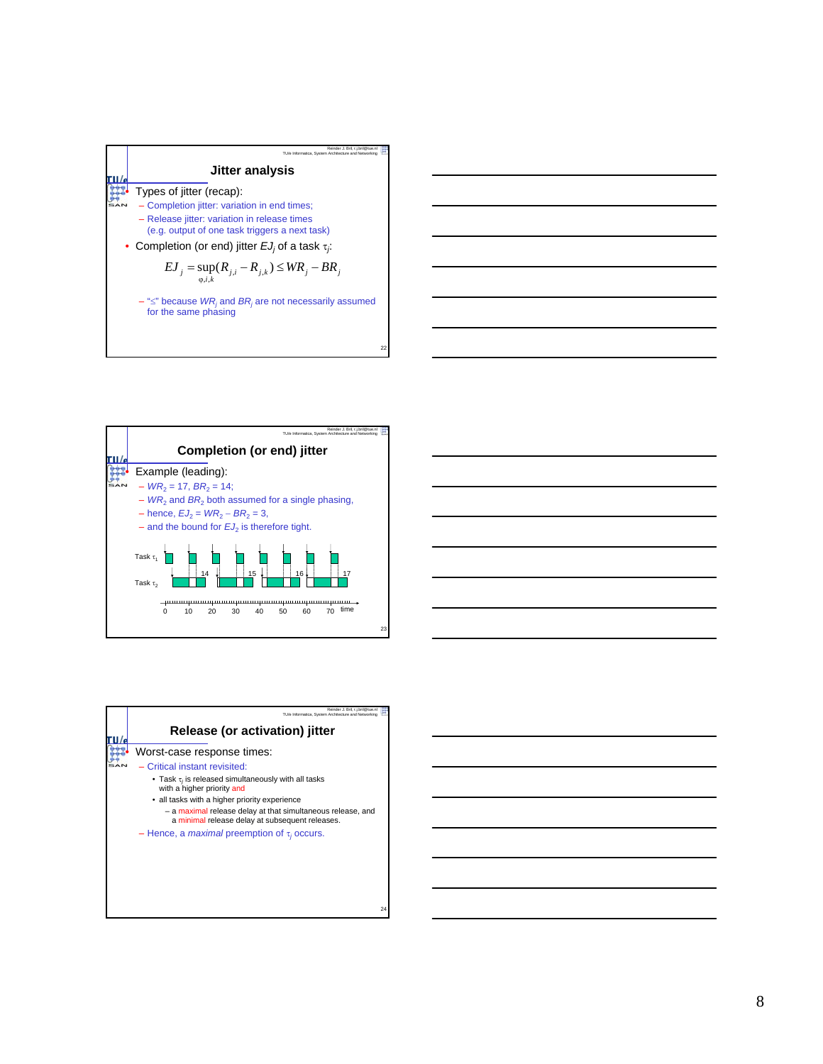



| Reinder J. Bril. r.i.bril@tue.nl<br>TU/e Informatica. System Architecture and Networking                       |
|----------------------------------------------------------------------------------------------------------------|
| Release (or activation) jitter                                                                                 |
| Worst-case response times:                                                                                     |
| - Critical instant revisited:                                                                                  |
| • Task $\tau_i$ is released simultaneously with all tasks<br>with a higher priority and                        |
| • all tasks with a higher priority experience                                                                  |
| - a maximal release delay at that simultaneous release, and<br>a minimal release delay at subsequent releases. |
| - Hence, a <i>maximal</i> preemption of $\tau_i$ occurs.                                                       |
|                                                                                                                |
|                                                                                                                |
|                                                                                                                |
|                                                                                                                |
| 24                                                                                                             |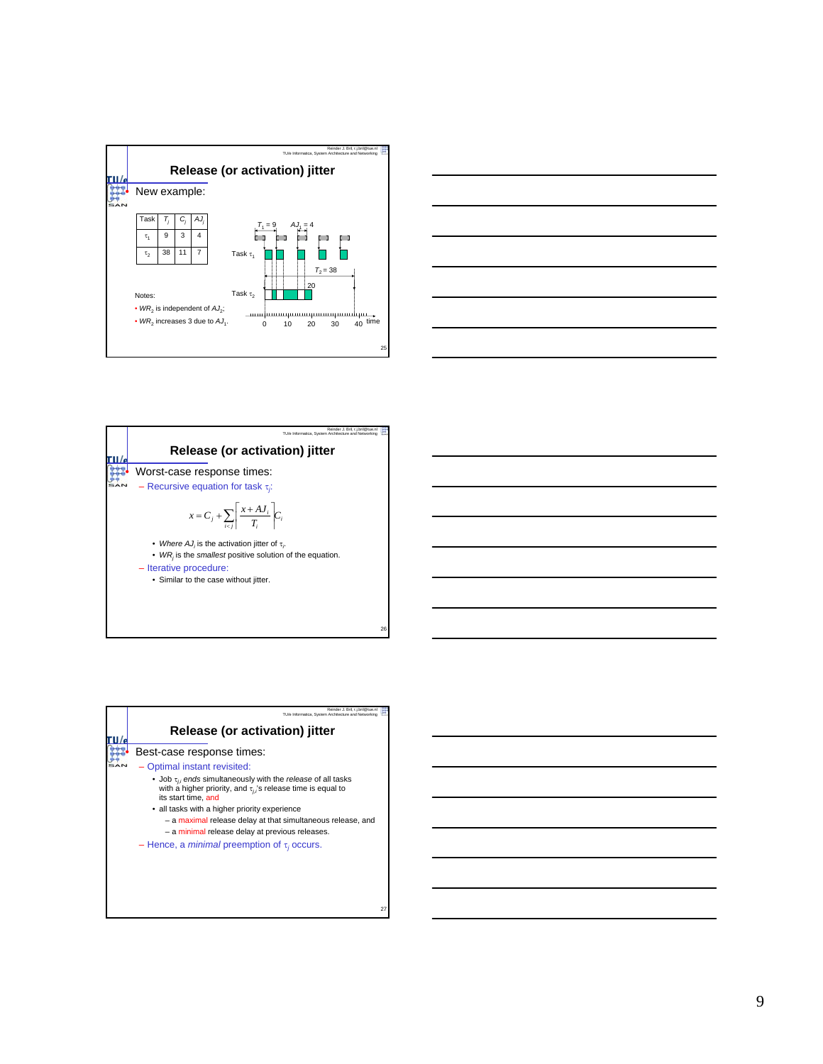



| Reinder J. Bril, r.i.bril@tue.nl<br>TU/e Informatica. System Architecture and Netw                                                                                              |
|---------------------------------------------------------------------------------------------------------------------------------------------------------------------------------|
| Release (or activation) jitter                                                                                                                                                  |
| Worst-case response times:<br>- Recursive equation for task $\tau_i$ :                                                                                                          |
| $x = C_j + \sum_{i \neq j} \left  \frac{x + AJ_i}{T_i} \right  C_i$                                                                                                             |
| • Where AJ, is the activation jitter of $\tau$ .<br>• WR, is the smallest positive solution of the equation.<br>- Iterative procedure:<br>• Similar to the case without jitter. |
|                                                                                                                                                                                 |

26

| Reinder J. Bril. r.i.bril@tue.nl<br>TU/e Informatica, System Architecture and Networking                                                                                                                                                                                                                                             |    |
|--------------------------------------------------------------------------------------------------------------------------------------------------------------------------------------------------------------------------------------------------------------------------------------------------------------------------------------|----|
| Release (or activation) jitter                                                                                                                                                                                                                                                                                                       |    |
| Best-case response times:                                                                                                                                                                                                                                                                                                            |    |
| - Optimal instant revisited:                                                                                                                                                                                                                                                                                                         |    |
| • Job $\tau_{ii}$ ends simultaneously with the release of all tasks<br>with a higher priority, and $\tau_{ij}$ 's release time is equal to<br>its start time, and<br>• all tasks with a higher priority experience<br>- a maximal release delay at that simultaneous release, and<br>- a minimal release delay at previous releases. |    |
| - Hence, a <i>minimal</i> preemption of $\tau_i$ occurs.                                                                                                                                                                                                                                                                             | 27 |

9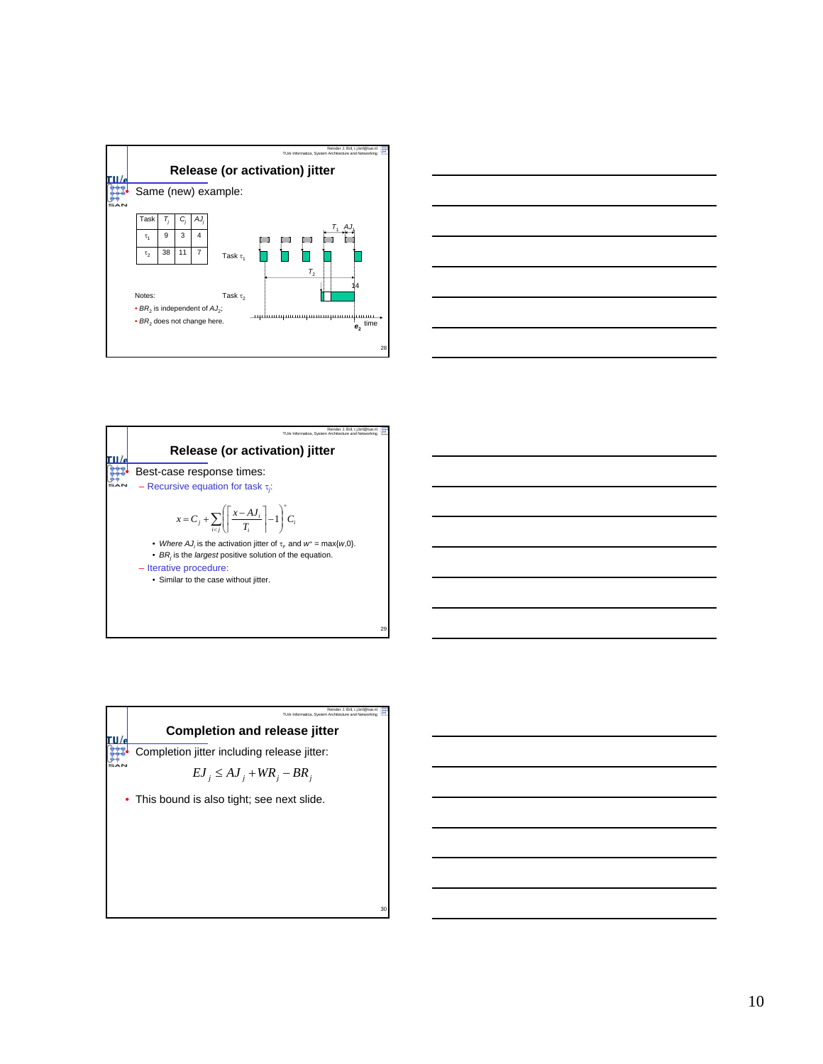